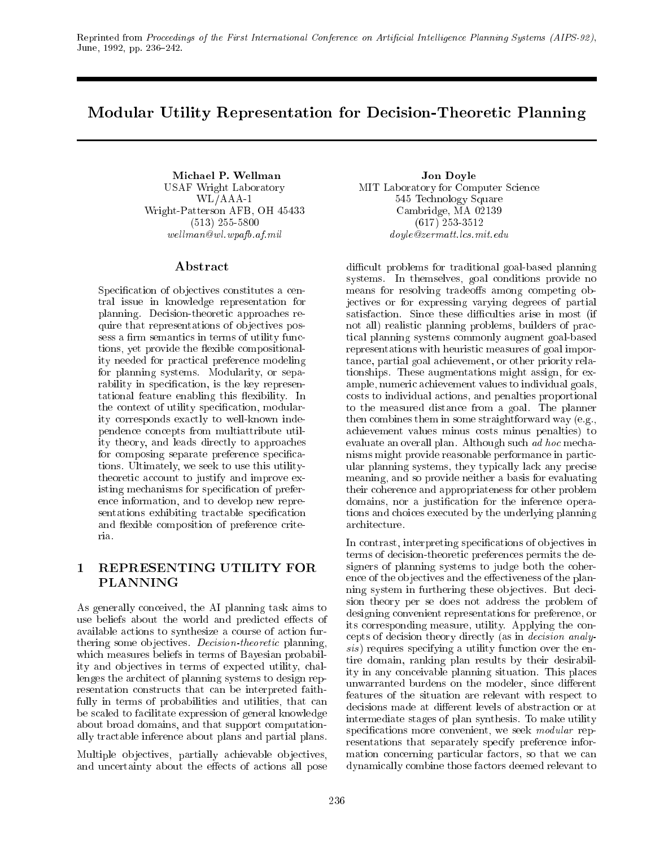Reprinted from Proceedings of the First International Conference on Artificial Intelligence Planning Systems (AIPS-92), June, 1992, pp. 236-242.

# Modular Utility Representation for Decision-Theoretic Planning

Michael P. Wellman USAF Wright Laboratory WL/AAA-1 Wright-Patterson AFB, OH 45433 (513) 255-5800  $well man@wl.wpafb.af.mil$ 

#### Abstract

Specification of objectives constitutes a central issue in knowledge representation for planning. Decision-theoretic approaches require that representations of objectives possess a firm semantics in terms of utility functions, yet provide the flexible compositionality needed for practical preference modeling for planning systems. Modularity, or separability in specification, is the key representational feature enabling this flexibility. In the context of utility specification, modularity corresponds exactly to well-known independence concepts from multiattribute utility theory, and leads directly to approaches for composing separate preference specifications. Ultimately, we seek to use this utilitytheoretic account to justify and improve existing mechanisms for specification of preference information, and to develop new representations exhibiting tractable specification and flexible composition of preference criteria.

### 1 REPRESENTING UTILITY FOR PLANNING

As generally conceived, the AI planning task aims to use beliefs about the world and predicted effects of available actions to synthesize a course of action furthering some objectives. *Decision-theoretic* planning, which measures beliefs in terms of Bayesian probability and ob jectives in terms of expected utility, challenges the architect of planning systems to design representation constructs that can be interpreted faithfully in terms of probabilities and utilities, that can be scaled to facilitate expression of general knowledge about broad domains, and that support computationally tractable inference about plans and partial plans.

Multiple objectives, partially achievable objectives, and uncertainty about the effects of actions all pose

Jon Doyle MIT Laboratory for Computer Science 545 Technology Square Cambridge, MA 02139 (617) 253-3512 doyle@zermatt.lcs.mit.edu

difficult problems for traditional goal-based planning systems. In themselves, goal conditions provide no means for resolving tradeoffs among competing objectives or for expressing varying degrees of partial satisfaction. Since these difficulties arise in most (if not all) realistic planning problems, builders of practical planning systems commonly augment goal-based representations with heuristic measures of goal importance, partial goal achievement, or other priority relationships. These augmentations might assign, for example, numeric achievement values to individual goals, costs to individual actions, and penalties proportional to the measured distance from a goal. The planner then combines them in some straightforward way (e.g., achievement values minus costs minus penalties) to evaluate an overall plan. Although such ad hoc mechanisms might provide reasonable performance in particular planning systems, they typically lack any precise meaning, and so provide neither a basis for evaluating their coherence and appropriateness for other problem domains, nor a justification for the inference operations and choices executed by the underlying planning architecture.

In contrast, interpreting specifications of objectives in terms of decision-theoretic preferences permits the designers of planning systems to judge both the coherence of the objectives and the effectiveness of the planning system in furthering these ob jectives. But decision theory per se does not address the problem of designing convenient representations for preference, or its corresponding measure, utility. Applying the concepts of decision theory directly (as in decision analysis) requires specifying a utility function over the entire domain, ranking plan results by their desirability in any conceivable planning situation. This places unwarranted burdens on the modeler, since different features of the situation are relevant with respect to decisions made at different levels of abstraction or at intermediate stages of plan synthesis. To make utility specifications more convenient, we seek *modular* representations that separately specify preference information concerning particular factors, so that we can dynamically combine those factors deemed relevant to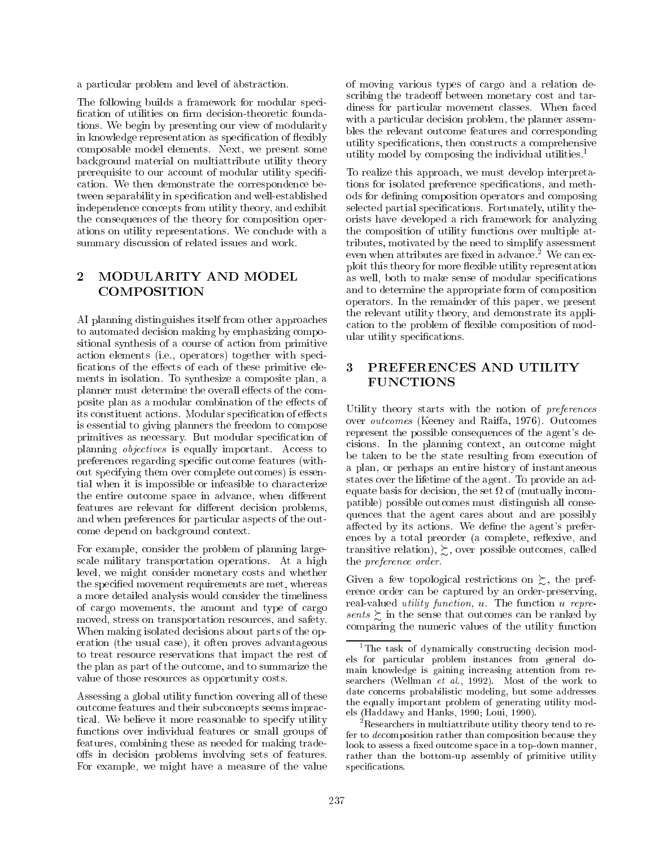a particular problem and level of abstraction.

The following builds a framework for modular speci fication of utilities on firm decision-theoretic foundations. We begin by presenting our view of modularity in knowledge representation as specification of flexibly composable model elements. Next, we present some background material on multiattribute utility theory prerequisite to our account of modular utility specification. We then demonstrate the correspondence between separability in specication and well-established independence concepts from utility theory, and exhibit the consequences of the theory for composition operations on utility representations. We conclude with a summary discussion of related issues and work.

## 2 MODULARITY AND MODEL COMPOSITION

AI planning distinguishes itself from other approaches to automated decision making by emphasizing compositional synthesis of a course of action from primitive action elements (i.e., operators) together with speci fications of the effects of each of these primitive elements in isolation. To synthesize a composite plan, a planner must determine the overall effects of the composite plan as a modular combination of the effects of its constituent actions. Modular specification of effects is essential to giving planners the freedom to compose primitives as necessary. But modular specification of planning objectives is equally important. Access to preferences regarding specic outcome features (without specifying them over complete outcomes) is essential when it is impossible or infeasible to characterize the entire outcome space in advance, when different features are relevant for different decision problems, and when preferences for particular aspects of the outcome depend on background context.

For example, consider the problem of planning largescale military transportation operations. At a high level, we might consider monetary costs and whether the specied movement requirements are met, whereas a more detailed analysis would consider the timeliness of cargo movements, the amount and type of cargo moved, stress on transportation resources, and safety. When making isolated decisions about parts of the operation (the usual case), it often proves advantageous to treat resource reservations that impact the rest of the plan as part of the outcome, and to summarize the value of those resources as opportunity costs.

Assessing a global utility function covering all of these outcome features and their subconcepts seems impractical. We believe it more reasonable to specify utility functions over individual features or small groups of features, combining these as needed for making tradeoffs in decision problems involving sets of features. For example, we might have a measure of the value

of moving various types of cargo and a relation describing the tradeoff between monetary cost and tardiness for particular movement classes. When faced with a particular decision problem, the planner assembles the relevant outcome features and corresponding utility specications, then constructs a comprehensive utility model by composing the individual utilities.<sup>1</sup>

To realize this approach, we must develop interpretations for isolated preference specications, and methods for defining composition operators and composing selected partial specifications. Fortunately, utility theorists have developed a rich framework for analyzing the composition of utility functions over multiple attributes, motivated by the need to simplify assessment even when attributes are fixed in advance.<sup>2</sup> We can exploit this theory for more flexible utility representation as well, both to make sense of modular specications and to determine the appropriate form of composition operators. In the remainder of this paper, we present the relevant utility theory, and demonstrate its application to the problem of flexible composition of modular utility specications.

# 3 PREFERENCES AND UTILITY FUNCTIONS

Utility theory starts with the notion of preferences over *outcomes* (Keeney and Raiffa, 1976). Outcomes represent the possible consequences of the agent's decisions. In the planning context, an outcome might be taken to be the state resulting from execution of a plan, or perhaps an entire history of instantaneous states over the lifetime of the agent. To provide an adequate basis for decision, the set of (mutually income set of  $\mathcal{M}$  ) and (mutually income set of  $\mathcal{M}$ patible) possible outcomes must distinguish all consequences that the agent cares about and are possibly affected by its actions. We define the agent's preferences by a total preorder (a complete, reflexive, and transitive relation), , over possible outcomes, called the preference order.

Given a few topological restrictions on  $\zeta$ , the pref erence order can be captured by an order-preserving, real-valued utility function, u. The function u represents in the sense that outcomes can be ranked by comparing the numeric values of the utility function

<sup>1</sup> The task of dynamically constructing decision models for particular problem instances from general domain knowledge is gaining increasing attention from researchers (Wellman et al., 1992). Most of the work to date concerns probabilistic modeling, but some addresses the equally important problem of generating utility models (Haddawy and Hanks, 1990; Loui, 1990).

<sup>-</sup>Researchers in multiattribute utility theory tend to refer to decomposition rather than composition because they look to assess a fixed outcome space in a top-down manner, rather than the bottom-up assembly of primitive utility specifications.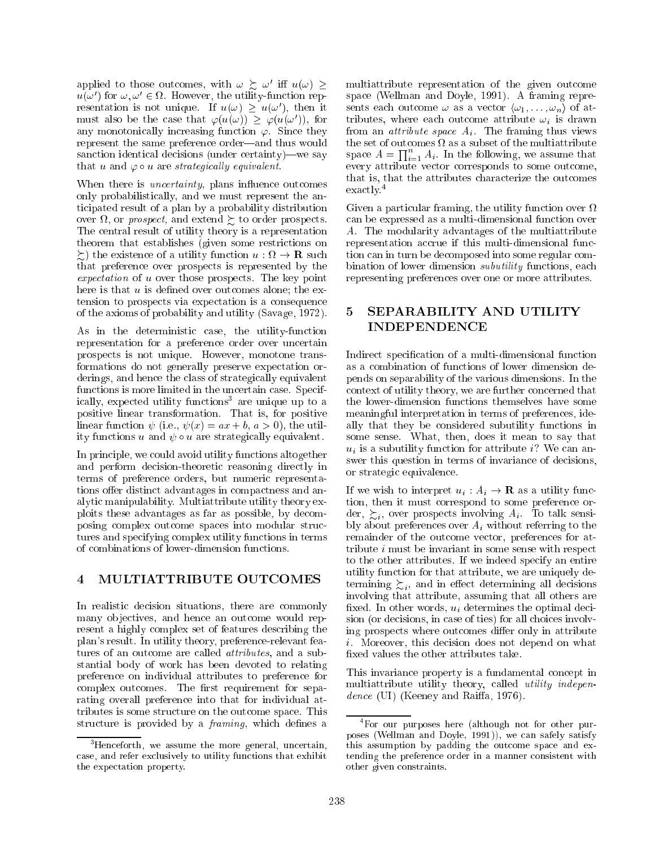applied to those outcomes, with  $\omega \in \omega$  in  $u(\omega) \geq$  $u(\omega')$  for  $\omega, \omega' \in \Omega$ . However, the utility-function representation is not unique. If  $u(\omega) > u(\omega)$ , then it must also be the case that  $\varphi(u(\omega)) \geq \varphi(u(\omega'))$ , for any monotonically increasing function  $\varphi$ . Since they represent the same preference order—and thus would sanction identical decisions (under certainty)—we say that u and  $\varphi \circ u$  are strategically equivalent.

When there is *uncertainty*, plans influence outcomes only probabilistically, and we must represent the anticipated result of a plan by a probability distribution over *a*, or *prospect*, and execute to order prospects. The central result of utility theory is a representation theorem that establishes (given some restrictions on that preference over prospects is represented by the  $\sim$  , the existence of a utility function  $u$  ,  $u$   $\sim$  10 such expectation of u over those prospects. The key point here is that  $u$  is defined over outcomes alone; the extension to prospects via expectation is a consequence of the axioms of probability and utility (Savage, 1972).

As in the deterministic case, the utility-function representation for a preference order over uncertain prospects is not unique. However, monotone transformations do not generally preserve expectation orderings, and hence the class of strategically equivalent functions is more limited in the uncertain case. Specifically, expected utility functions<sup>-</sup> are unique up to a positive linear transformation. That is, for positive linear function  $\psi$  (i.e.,  $\psi(x) = ax + b, a > 0$ ), the utility functions u and  $\psi \circ u$  are strategically equivalent.

In principle, we could avoid utility functions altogether and perform decision-theoretic reasoning directly in terms of preference orders, but numeric representations offer distinct advantages in compactness and analytic manipulability. Multiattribute utility theory exploits these advantages as far as possible, by decomposing complex outcome spaces into modular structures and specifying complex utility functions in terms of combinations of lower-dimension functions.

#### 4 MULTIATTRIBUTE OUTCOMES

In realistic decision situations, there are commonly many objectives, and hence an outcome would represent a highly complex set of features describing the plan's result. In utility theory, preference-relevant features of an outcome are called attributes, and a substantial body of work has been devoted to relating preference on individual attributes to preference for complex outcomes. The first requirement for separating overall preference into that for individual attributes is some structure on the outcome space. This structure is provided by a framing, which defines a

multiattribute representation of the given outcome space (Wellman and Doyle, 1991). A framing represents each outcome  $\omega$  as a vector  $\langle \omega_1, \ldots, \omega_n \rangle$  of attributes, where each outcome attribute  $\omega_i$  is drawn from an *attribute space*  $A_i$ . The framing thus views space  $A = \prod_{i=1}^{n} A_i$ . In the following, we assume that every attribute vector corresponds to some outcome, that is, that the attributes characterize the outcomes exactly. <sup>4</sup>

Given a particular framing, the utility function over can be expressed as a multi-dimensional function over A. The modularity advantages of the multiattribute representation accrue if this multi-dimensional function can in turn be decomposed into some regular combination of lower dimension *subutility* functions, each representing preferences over one or more attributes.

# 5 SEPARABILITY AND UTILITY INDEPENDENCE

Indirect specication of a multi-dimensional function as a combination of functions of lower dimension depends on separability of the various dimensions. In the context of utility theory, we are further concerned that the lower-dimension functions themselves have some meaningful interpretation in terms of preferences, ideally that they be considered subutility functions in some sense. What, then, does it mean to say that  $u_i$  is a subutility function for attribute i? We can answer this question in terms of invariance of decisions, or strategic equivalence.

If we wish to interpret  $u_i : A_i \to \mathbf{R}$  as a utility function, then it must correspond to some preference or- $\alpha$ .,  $\lambda$ <sub>i</sub>, over prospects involving  $n_i$ . To tain sensibly about preferences over  $A_i$  without referring to the remainder of the outcome vector, preferences for attribute i must be invariant in some sense with respect to the other attributes. If we indeed specify an entire utility function for that attribute, we are uniquely determining , and in eect determining all decisions <sup>i</sup> involving that attribute, assuming that all others are fixed. In other words,  $u_i$  determines the optimal decision (or decisions, in case of ties) for all choices involving prospects where outcomes differ only in attribute i. Moreover, this decision does not depend on what xed values the other attributes take.

This invariance property is a fundamental concept in multiattribute utility theory, called utility independence (UI) (Keeney and Raiffa, 1976).

<sup>-</sup>Henceforth, we assume the more general, uncertain, case, and refer exclusively to utility functions that exhibit the expectation property.

<sup>4</sup> For our purposes here (although not for other purposes (Wellman and Doyle, 1991)), we can safely satisfy this assumption by padding the outcome space and extending the preference order in a manner consistent with other given constraints.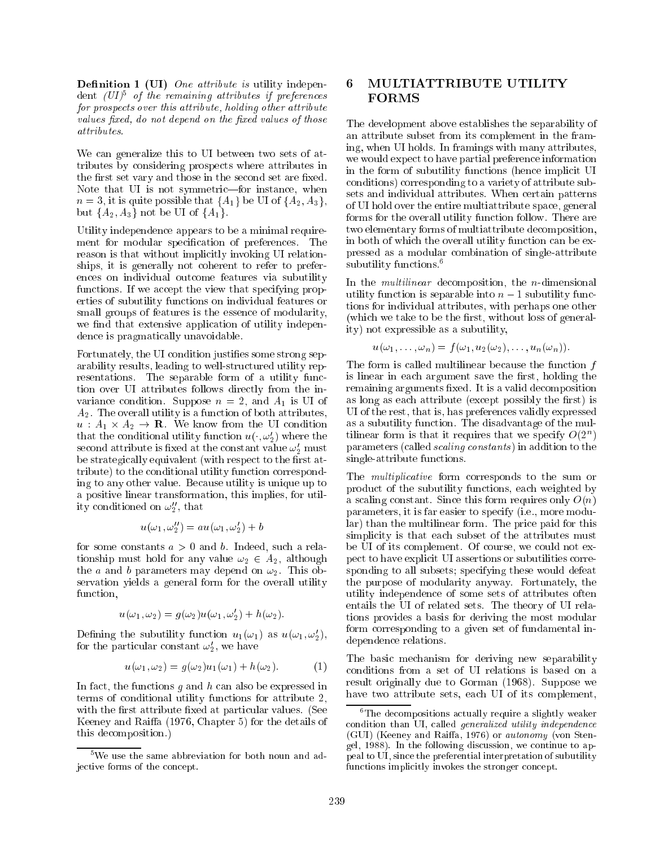**Definition 1 (UI)** One attribute is utility independent (UI)<sup>5</sup> of the remaining attributes if preferences for prospects over this attribute, holding other attribute values fixed, do not depend on the fixed values of those attributes.

We can generalize this to UI between two sets of attributes by considering prospects where attributes in the first set vary and those in the second set are fixed. Note that UI is not symmetric-for instance, when  $n = 3$ , it is quite possible that  $\{A_1\}$  be UI of  $\{A_2, A_3\}$ , but  $\{A_2, A_3\}$  not be UI of  $\{A_1\}$ .

Utility independence appears to be a minimal requirement for modular specification of preferences. The reason is that without implicitly invoking UI relationships, it is generally not coherent to refer to preferences on individual outcome features via subutility functions. If we accept the view that specifying properties of subutility functions on individual features or small groups of features is the essence of modularity, we find that extensive application of utility independence is pragmatically unavoidable.

Fortunately, the UI condition justifies some strong separability results, leading to well-structured utility representations. The separable form of a utility function over UI attributes follows directly from the invariance condition. Suppose  $n = 2$ , and  $A_1$  is UI of  $A_2$ . The overall utility is a function of both attributes, u : A1 - A2 . We know from the UI conditions of the UI conditions and that the conditional utility function  $u(\cdot,\omega_2)$  where the second attribute is fixed at the constant value  $\omega_2$  must be strategically equivalent (with respect to the first attribute) to the conditional utility function corresponding to any other value. Because utility is unique up to a positive linear transformation, this implies, for utilвгу соповлопео оп  $\omega_2^{}$ , тпат

$$
u(\omega_1, \omega_2'') = au(\omega_1, \omega_2') + b
$$

for some constants  $a > 0$  and b. Indeed, such a relationship must hold for any value  $\omega_2 \in A_2$ , although the *a* and *b* parameters may depend on  $\omega_2$ . This observation yields a general form for the overall utility function,

$$
u(\omega_1, \omega_2) = g(\omega_2)u(\omega_1, \omega'_2) + h(\omega_2).
$$

Defining the subuthity function  $u_1(\omega_1)$  as  $u(\omega_1, \omega_2)$ , for the particular constant  $\omega_2,$  we have

$$
u(\omega_1, \omega_2) = g(\omega_2)u_1(\omega_1) + h(\omega_2). \tag{1}
$$

In fact, the functions  $q$  and  $h$  can also be expressed in terms of conditional utility functions for attribute 2, with the first attribute fixed at particular values. (See Keeney and Raiffa  $(1976, Chapter 5)$  for the details of this decomposition.)

# 6 MULTIATTRIBUTE UTILITY FORMS

The development above establishes the separability of an attribute subset from its complement in the framing, when UI holds. In framings with many attributes, we would expect to have partial preference information in the form of subutility functions (hence implicit UI conditions) corresponding to a variety of attribute subsets and individual attributes. When certain patterns of UI hold over the entire multiattribute space, general forms for the overall utility function follow. There are two elementary forms of multiattribute decomposition, in both of which the overall utility function can be expressed as a modular combination of single-attribute subutility functions.<sup>6</sup>

In the *multilinear* decomposition, the *n*-dimensional utility function is separable into  $n - 1$  subutility functions for individual attributes, with perhaps one other (which we take to be the first, without loss of generality) not expressible as a subutility,

$$
u(\omega_1,\ldots,\omega_n)=f(\omega_1,u_2(\omega_2),\ldots,u_n(\omega_n)).
$$

The form is called multilinear because the function  $f$ is linear in each argument save the first, holding the remaining arguments fixed. It is a valid decomposition as long as each attribute (except possibly the first) is UI of the rest, that is, has preferences validly expressed as a subutility function. The disadvantage of the multilinear form is that it requires that we specify  $O(2^n)$ parameters (called scaling constants ) in addition to the single-attribute functions.

The multiplicative form corresponds to the sum or product of the subutility functions, each weighted by a scaling constant. Since this form requires only  $O(n)$ parameters, it is far easier to specify (i.e., more modular) than the multilinear form. The price paid for this simplicity is that each subset of the attributes must be UI of its complement. Of course, we could not expect to have explicit UI assertions or subutilities corresponding to all subsets; specifying these would defeat the purpose of modularity anyway. Fortunately, the utility independence of some sets of attributes often entails the UI of related sets. The theory of UI relations provides a basis for deriving the most modular form corresponding to a given set of fundamental independence relations.

The basic mechanism for deriving new separability conditions from a set of UI relations is based on a result originally due to Gorman (1968). Suppose we have two attribute sets, each UI of its complement,

 $5\,\mathrm{We}$  use the same abbreviation for both noun and adjective forms of the concept.

The decompositions actually require a slightly weaker condition than UI, called generalized utility independence (GUI) (Keeney and Raiffa, 1976) or autonomy (von Stengel, 1988). In the following discussion, we continue to appeal to UI, since the preferential interpretation of subutility functions implicitly invokes the stronger concept.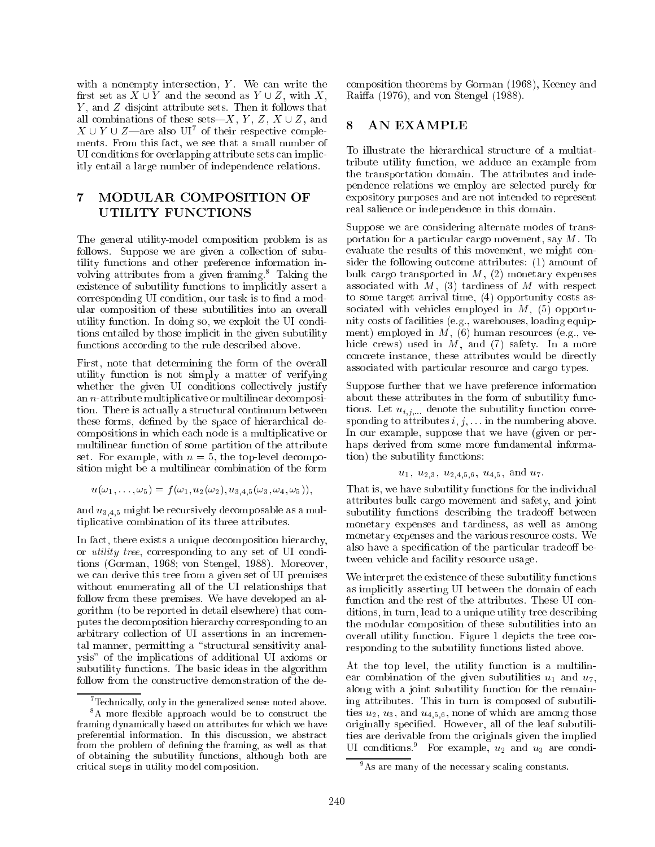with a nonempty intersection,  $Y$ . We can write the first set as  $X \cup Y$  and the second as  $Y \cup Z$ , with X,  $Y$ , and  $Z$  disjoint attribute sets. Then it follows that all combinations of these sets—X, Y, Z,  $X \cup Z$ , and  $\Lambda \cup I \cup Z$  —are also  $\cup I$  of their respective complements. From this fact, we see that a small number of UI conditions for overlapping attribute sets can implicitly entail a large number of independence relations.

### 7 MODULAR COMPOSITION OF UTILITY FUNCTIONS

The general utility-model composition problem is as follows. Suppose we are given a collection of subutility functions and other preference information involving attributes from a given framing.<sup>8</sup> Taking the existence of subutility functions to implicitly assert a corresponding UI condition, our task is to find a modular composition of these subutilities into an overall utility function. In doing so, we exploit the UI conditions entailed by those implicit in the given subutility functions according to the rule described above.

First, note that determining the form of the overall utility function is not simply a matter of verifying whether the given UI conditions collectively justify an n-attribute multiplicative or multilinear decomposition. There is actually a structural continuum between these forms, defined by the space of hierarchical decompositions in which each node is a multiplicative or multilinear function of some partition of the attribute set. For example, with  $n = 5$ , the top-level decomposition might be a multilinear combination of the form

$$
u(\omega_1, \ldots, \omega_5) = f(\omega_1, u_2(\omega_2), u_{3,4,5}(\omega_3, \omega_4, \omega_5)),
$$

and  $u_{3,4,5}$  might be recursively decomposable as a multiplicative combination of its three attributes.

In fact, there exists a unique decomposition hierarchy, or utility tree, corresponding to any set of UI conditions (Gorman, 1968; von Stengel, 1988). Moreover, we can derive this tree from a given set of UI premises without enumerating all of the UI relationships that follow from these premises. We have developed an algorithm (to be reported in detail elsewhere) that computes the decomposition hierarchy corresponding to an arbitrary collection of UI assertions in an incremental manner, permitting a "structural sensitivity analysis" of the implications of additional UI axioms or subutility functions. The basic ideas in the algorithm follow from the constructive demonstration of the de-

critical steps in utility model composition.

composition theorems by Gorman (1968), Keeney and Raiffa  $(1976)$ , and von Stengel  $(1988)$ .

#### 8 AN EXAMPLE

To illustrate the hierarchical structure of a multiattribute utility function, we adduce an example from the transportation domain. The attributes and independence relations we employ are selected purely for expository purposes and are not intended to represent real salience or independence in this domain.

Suppose we are considering alternate modes of transportation for a particular cargo movement, say M. To evaluate the results of this movement, we might consider the following outcome attributes: (1) amount of bulk cargo transported in  $M$ ,  $(2)$  monetary expenses associated with  $M$ , (3) tardiness of  $M$  with respect to some target arrival time, (4) opportunity costs associated with vehicles employed in  $M$ , (5) opportunity costs of facilities (e.g., warehouses, loading equipment) employed in  $M$ , (6) human resources (e.g., vehicle crews) used in  $M$ , and  $(7)$  safety. In a more concrete instance, these attributes would be directly associated with particular resource and cargo types.

Suppose further that we have preference information about these attributes in the form of subutility functions. Let  $u_{i,j}$  denote the subutility function corresponding to attributes  $i, j, \ldots$  in the numbering above. In our example, suppose that we have (given or perhaps derived from some more fundamental information) the subutility functions:

### $\label{eq:u_1} u_1,\ u_{2,3},\ u_{2,4,5,6},\ u_{4,5},\ \text{and}\ u_7.$

That is, we have subutility functions for the individual attributes bulk cargo movement and safety, and joint subutility functions describing the tradeoff between monetary expenses and tardiness, as well as among monetary expenses and the various resource costs. We also have a specification of the particular tradeoff between vehicle and facility resource usage.

We interpret the existence of these subutility functions as implicitly asserting UI between the domain of each function and the rest of the attributes. These UI conditions, in turn, lead to a unique utility tree describing the modular composition of these subutilities into an overall utility function. Figure 1 depicts the tree corresponding to the subutility functions listed above.

At the top level, the utility function is a multilinear combination of the given subutilities  $u_1$  and  $u_7$ , along with a joint subutility function for the remaining attributes. This in turn is composed of subutilities  $u_2$ ,  $u_3$ , and  $u_{4,5,6}$ , none of which are among those originally specied. However, all of the leaf subutilities are derivable from the originals given the implied UI conditions. For example,  $u_2$  and  $u_3$  are condi-

<sup>7</sup> Technically, only in the generalized sense noted above. 'A more flexible approach would be to construct the framing dynamically based on attributes for which we have preferential information. In this discussion, we abstract from the problem of defining the framing, as well as that of obtaining the subutility functions, although both are

<sup>9</sup> As are many of the necessary scaling constants.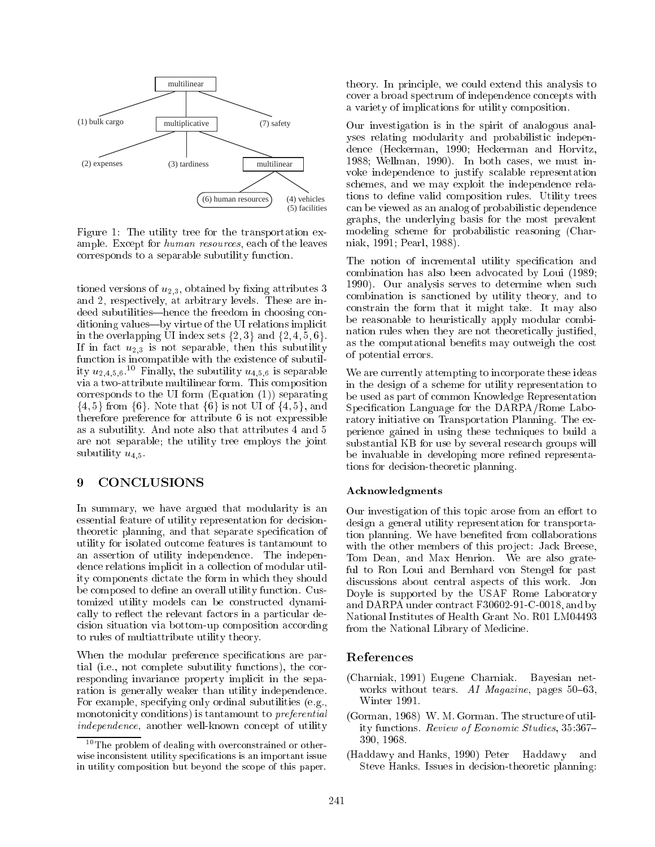

Figure 1: The utility tree for the transportation example. Except for human resources, each of the leaves corresponds to a separable subutility function.

tioned versions of  $u_{2,3}$ , obtained by fixing attributes 3 and 2, respectively, at arbitrary levels. These are indeed subutilities—hence the freedom in choosing conditioning values—by virtue of the UI relations implicit in the overlapping UI index sets  $\{2,3\}$  and  $\{2,4,5,6\}$ . If in fact  $u_{2,3}$  is not separable, then this subutility function is incompatible with the existence of subutility  $u_{2,4,5,6}$ . Finally, the subuthity  $u_{4,5,6}$  is separable via a two-attribute multilinear form. This composition corresponds to the UI form (Equation (1)) separating  $\{4, 5\}$  from  $\{6\}$ . Note that  $\{6\}$  is not UI of  $\{4, 5\}$ , and therefore preference for attribute 6 is not expressible as a subutility. And note also that attributes 4 and 5 are not separable; the utility tree employs the joint subutility  $u_{4,5}$ .

#### 9 CONCLUSIONS

In summary, we have argued that modularity is an essential feature of utility representation for decisiontheoretic planning, and that separate specification of utility for isolated outcome features is tantamount to an assertion of utility independence. The independence relations implicit in a collection of modular utility components dictate the form in which they should be composed to define an overall utility function. Customized utility models can be constructed dynamically to reflect the relevant factors in a particular decision situation via bottom-up composition according to rules of multiattribute utility theory.

When the modular preference specifications are partial (i.e., not complete subutility functions), the corresponding invariance property implicit in the separation is generally weaker than utility independence. For example, specifying only ordinal subutilities (e.g., monotonicity conditions) is tantamount to *preferential* independence, another well-known concept of utility

theory. In principle, we could extend this analysis to cover a broad spectrum of independence concepts with a variety of implications for utility composition.

Our investigation is in the spirit of analogous analyses relating modularity and probabilistic independence (Heckerman, 1990; Heckerman and Horvitz, 1988; Wellman, 1990). In both cases, we must invoke independence to justify scalable representation schemes, and we may exploit the independence relations to define valid composition rules. Utility trees can be viewed as an analog of probabilistic dependence graphs, the underlying basis for the most prevalent modeling scheme for probabilistic reasoning (Charniak, 1991; Pearl, 1988).

The notion of incremental utility specification and combination has also been advocated by Loui (1989; 1990). Our analysis serves to determine when such combination is sanctioned by utility theory, and to constrain the form that it might take. It may also be reasonable to heuristically apply modular combination rules when they are not theoretically justied, as the computational benefits may outweigh the cost of potential errors.

We are currently attempting to incorporate these ideas in the design of a scheme for utility representation to be used as part of common Knowledge Representation Specication Language for the DARPA/Rome Laboratory initiative on Transportation Planning. The experience gained in using these techniques to build a substantial KB for use by several research groups will be invaluable in developing more refined representations for decision-theoretic planning.

#### Acknowledgments

Our investigation of this topic arose from an effort to design a general utility representation for transportation planning. We have beneted from collaborations with the other members of this project: Jack Breese, Tom Dean, and Max Henrion. We are also grateful to Ron Loui and Bernhard von Stengel for past discussions about central aspects of this work. Jon Doyle is supported by the USAF Rome Laboratory and DARPA under contract F30602-91-C-0018, and by National Institutes of Health Grant No. R01 LM04493 from the National Library of Medicine.

#### References

- (Charniak, 1991) Eugene Charniak. Bayesian networks without tears. AI Magazine, pages  $50-63$ , Winter 1991.
- (Gorman, 1968) W. M. Gorman. The structure of utility functions. Review of Economic Studies,  $35:367-$ 390, 1968.
- (Haddawy and Hanks, 1990) Peter Haddawy and Steve Hanks. Issues in decision-theoretic planning:

<sup>10</sup>The problem of dealing with overconstrained or otherwise inconsistent utility specifications is an important issue in utility composition but beyond the scope of this paper.